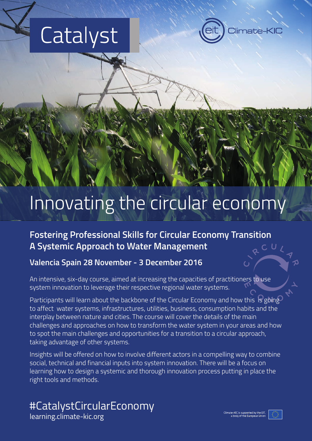# Catalyst



# Innovating the circular economy

### **Fostering Professional Skills for Circular Economy Transition A Systemic Approach to Water Management**

#### **Valencia Spain 28 November - 3 December 2016**

An intensive, six-day course, aimed at increasing the capacities of practitioners to use system innovation to leverage their respective regional water systems.

Participants will learn about the backbone of the Circular Economy and how this is going to affect water systems, infrastructures, utilities, business, consumption habits and the interplay between nature and cities. The course will cover the details of the main challenges and approaches on how to transform the water system in your areas and how to spot the main challenges and opportunities for a transition to a circular approach, taking advantage of other systems.

Insights will be offered on how to involve different actors in a compelling way to combine social, technical and financial inputs into system innovation. There will be a focus on learning how to design a systemic and thorough innovation process putting in place the right tools and methods.

#### #CatalystCircularEconomy [learning.climate-kic.org](http://learning.climate-kic.org/)